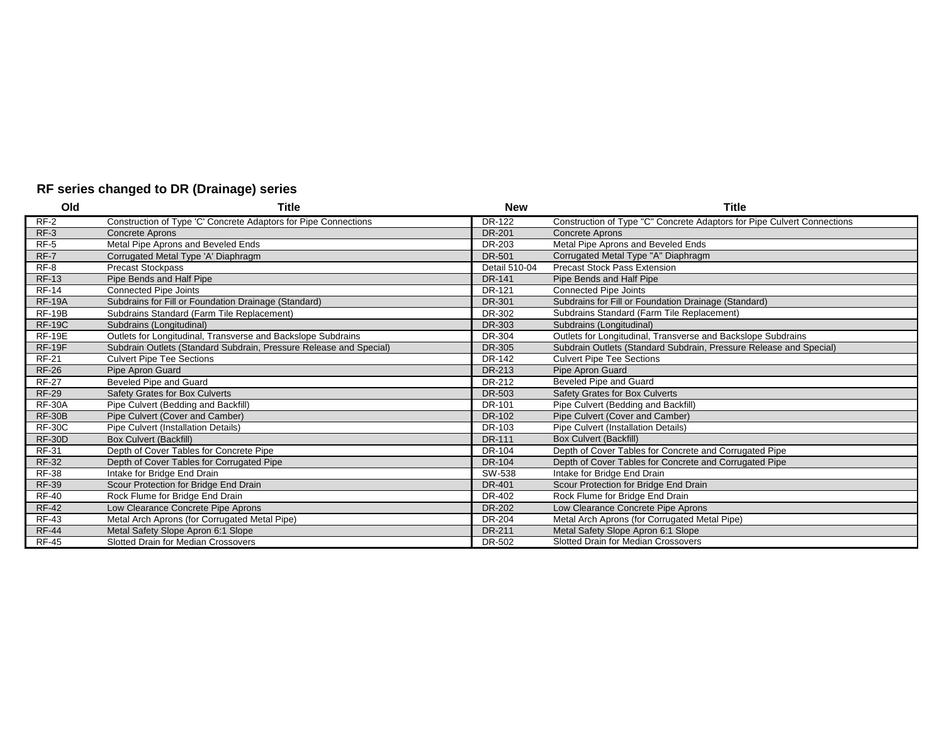## **RF series changed to DR (Drainage) series**

| Old           | <b>Title</b>                                                       | <b>New</b>    | Title                                                                   |
|---------------|--------------------------------------------------------------------|---------------|-------------------------------------------------------------------------|
| $RF-2$        | Construction of Type 'C' Concrete Adaptors for Pipe Connections    | DR-122        | Construction of Type "C" Concrete Adaptors for Pipe Culvert Connections |
| $RF-3$        | <b>Concrete Aprons</b>                                             | <b>DR-201</b> | <b>Concrete Aprons</b>                                                  |
| $RF-5$        | Metal Pipe Aprons and Beveled Ends                                 | DR-203        | Metal Pipe Aprons and Beveled Ends                                      |
| $RF-7$        | Corrugated Metal Type 'A' Diaphragm                                | DR-501        | Corrugated Metal Type "A" Diaphragm                                     |
| RF-8          | <b>Precast Stockpass</b>                                           | Detail 510-04 | <b>Precast Stock Pass Extension</b>                                     |
| <b>RF-13</b>  | Pipe Bends and Half Pipe                                           | <b>DR-141</b> | Pipe Bends and Half Pipe                                                |
| <b>RF-14</b>  | Connected Pipe Joints                                              | DR-121        | <b>Connected Pipe Joints</b>                                            |
| <b>RF-19A</b> | Subdrains for Fill or Foundation Drainage (Standard)               | <b>DR-301</b> | Subdrains for Fill or Foundation Drainage (Standard)                    |
| <b>RF-19B</b> | Subdrains Standard (Farm Tile Replacement)                         | DR-302        | Subdrains Standard (Farm Tile Replacement)                              |
| <b>RF-19C</b> | Subdrains (Longitudinal)                                           | <b>DR-303</b> | Subdrains (Longitudinal)                                                |
| <b>RF-19E</b> | Outlets for Longitudinal, Transverse and Backslope Subdrains       | DR-304        | Outlets for Longitudinal, Transverse and Backslope Subdrains            |
| <b>RF-19F</b> | Subdrain Outlets (Standard Subdrain, Pressure Release and Special) | <b>DR-305</b> | Subdrain Outlets (Standard Subdrain, Pressure Release and Special)      |
| <b>RF-21</b>  | <b>Culvert Pipe Tee Sections</b>                                   | DR-142        | <b>Culvert Pipe Tee Sections</b>                                        |
| <b>RF-26</b>  | Pipe Apron Guard                                                   | DR-213        | Pipe Apron Guard                                                        |
| <b>RF-27</b>  | Beveled Pipe and Guard                                             | DR-212        | <b>Beveled Pipe and Guard</b>                                           |
| <b>RF-29</b>  | Safety Grates for Box Culverts                                     | <b>DR-503</b> | <b>Safety Grates for Box Culverts</b>                                   |
| <b>RF-30A</b> | Pipe Culvert (Bedding and Backfill)                                | DR-101        | Pipe Culvert (Bedding and Backfill)                                     |
| <b>RF-30B</b> | Pipe Culvert (Cover and Camber)                                    | DR-102        | Pipe Culvert (Cover and Camber)                                         |
| <b>RF-30C</b> | Pipe Culvert (Installation Details)                                | DR-103        | Pipe Culvert (Installation Details)                                     |
| <b>RF-30D</b> | <b>Box Culvert (Backfill)</b>                                      | <b>DR-111</b> | <b>Box Culvert (Backfill)</b>                                           |
| <b>RF-31</b>  | Depth of Cover Tables for Concrete Pipe                            | DR-104        | Depth of Cover Tables for Concrete and Corrugated Pipe                  |
| <b>RF-32</b>  | Depth of Cover Tables for Corrugated Pipe                          | <b>DR-104</b> | Depth of Cover Tables for Concrete and Corrugated Pipe                  |
| <b>RF-38</b>  | Intake for Bridge End Drain                                        | SW-538        | Intake for Bridge End Drain                                             |
| <b>RF-39</b>  | Scour Protection for Bridge End Drain                              | DR-401        | Scour Protection for Bridge End Drain                                   |
| <b>RF-40</b>  | Rock Flume for Bridge End Drain                                    | DR-402        | Rock Flume for Bridge End Drain                                         |
| <b>RF-42</b>  | Low Clearance Concrete Pipe Aprons                                 | <b>DR-202</b> | Low Clearance Concrete Pipe Aprons                                      |
| <b>RF-43</b>  | Metal Arch Aprons (for Corrugated Metal Pipe)                      | <b>DR-204</b> | Metal Arch Aprons (for Corrugated Metal Pipe)                           |
| <b>RF-44</b>  | Metal Safety Slope Apron 6:1 Slope                                 | <b>DR-211</b> | Metal Safety Slope Apron 6:1 Slope                                      |
| <b>RF-45</b>  | Slotted Drain for Median Crossovers                                | DR-502        | Slotted Drain for Median Crossovers                                     |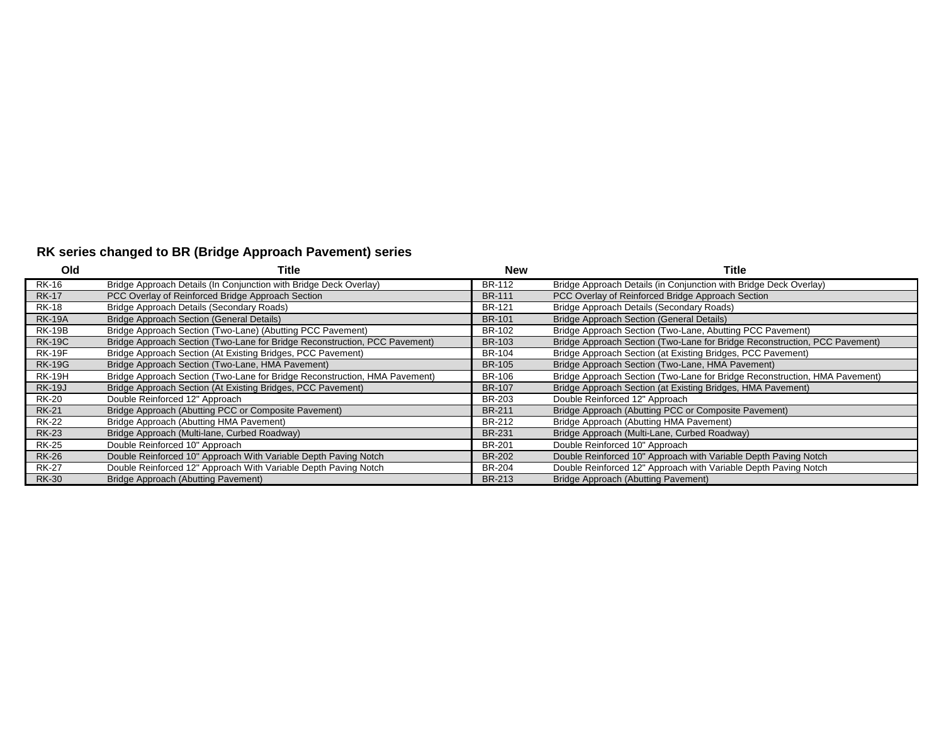## **RK series changed to BR (Bridge Approach Pavement) series**

| Old           | Title                                                                      | <b>New</b>    | Title                                                                      |
|---------------|----------------------------------------------------------------------------|---------------|----------------------------------------------------------------------------|
| <b>RK-16</b>  | Bridge Approach Details (In Conjunction with Bridge Deck Overlay)          | BR-112        | Bridge Approach Details (in Conjunction with Bridge Deck Overlay)          |
| <b>RK-17</b>  | PCC Overlay of Reinforced Bridge Approach Section                          | <b>BR-111</b> | PCC Overlay of Reinforced Bridge Approach Section                          |
| <b>RK-18</b>  | Bridge Approach Details (Secondary Roads)                                  | <b>BR-121</b> | Bridge Approach Details (Secondary Roads)                                  |
| <b>RK-19A</b> | <b>Bridge Approach Section (General Details)</b>                           | <b>BR-101</b> | <b>Bridge Approach Section (General Details)</b>                           |
| <b>RK-19B</b> | Bridge Approach Section (Two-Lane) (Abutting PCC Pavement)                 | BR-102        | Bridge Approach Section (Two-Lane, Abutting PCC Pavement)                  |
| <b>RK-19C</b> | Bridge Approach Section (Two-Lane for Bridge Reconstruction, PCC Pavement) | <b>BR-103</b> | Bridge Approach Section (Two-Lane for Bridge Reconstruction, PCC Pavement) |
| <b>RK-19F</b> | Bridge Approach Section (At Existing Bridges, PCC Pavement)                | <b>BR-104</b> | Bridge Approach Section (at Existing Bridges, PCC Pavement)                |
| <b>RK-19G</b> | Bridge Approach Section (Two-Lane, HMA Pavement)                           | <b>BR-105</b> | Bridge Approach Section (Two-Lane, HMA Pavement)                           |
| <b>RK-19H</b> | Bridge Approach Section (Two-Lane for Bridge Reconstruction, HMA Pavement) | BR-106        | Bridge Approach Section (Two-Lane for Bridge Reconstruction, HMA Pavement) |
| <b>RK-19J</b> | Bridge Approach Section (At Existing Bridges, PCC Pavement)                | <b>BR-107</b> | Bridge Approach Section (at Existing Bridges, HMA Pavement)                |
| <b>RK-20</b>  | Double Reinforced 12" Approach                                             | BR-203        | Double Reinforced 12" Approach                                             |
| <b>RK-21</b>  | Bridge Approach (Abutting PCC or Composite Pavement)                       | <b>BR-211</b> | Bridge Approach (Abutting PCC or Composite Pavement)                       |
| <b>RK-22</b>  | Bridge Approach (Abutting HMA Pavement)                                    | BR-212        | Bridge Approach (Abutting HMA Pavement)                                    |
| <b>RK-23</b>  | Bridge Approach (Multi-lane, Curbed Roadway)                               | <b>BR-231</b> | Bridge Approach (Multi-Lane, Curbed Roadway)                               |
| <b>RK-25</b>  | Double Reinforced 10" Approach                                             | <b>BR-201</b> | Double Reinforced 10" Approach                                             |
| <b>RK-26</b>  | Double Reinforced 10" Approach With Variable Depth Paving Notch            | <b>BR-202</b> | Double Reinforced 10" Approach with Variable Depth Paving Notch            |
| <b>RK-27</b>  | Double Reinforced 12" Approach With Variable Depth Paving Notch            | BR-204        | Double Reinforced 12" Approach with Variable Depth Paving Notch            |
| <b>RK-30</b>  | Bridge Approach (Abutting Pavement)                                        | <b>BR-213</b> | Bridge Approach (Abutting Pavement)                                        |